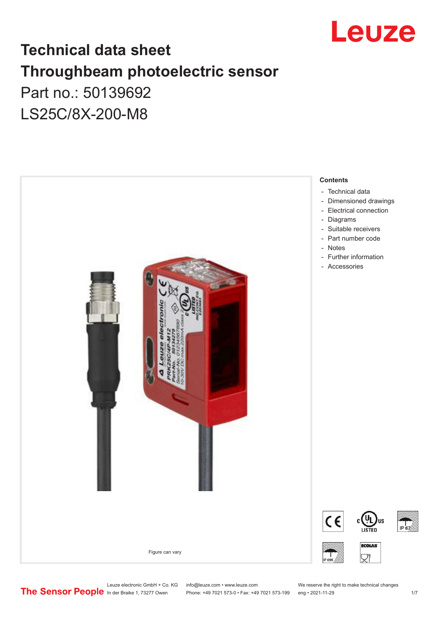

## **Technical data sheet Throughbeam photoelectric sensor**  Part no.: 50139692 LS25C/8X-200-M8



- 
- [Electrical connection](#page-2-0)
- 

Leuze electronic GmbH + Co. KG info@leuze.com • www.leuze.com We reserve the right to make technical changes<br>
The Sensor People in der Braike 1, 73277 Owen Phone: +49 7021 573-0 • Fax: +49 7021 573-199 eng • 2021-11-29

Phone: +49 7021 573-0 • Fax: +49 7021 573-199 eng • 2021-11-29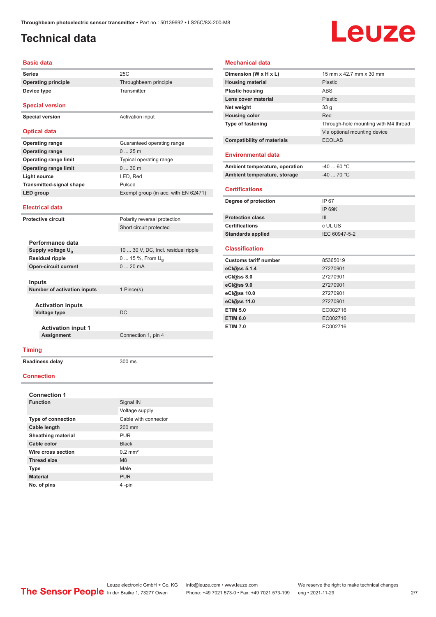### <span id="page-1-0"></span>**Technical data**

**Device type** Transmitter

# Leuze

#### **Basic data**

**Series** 25C **Operating principle** Throughbeam principle

**Special version**

**Special version** Activation input

#### **Optical data**

| <b>Operating range</b>          | Guaranteed operating range           |
|---------------------------------|--------------------------------------|
| <b>Operating range</b>          | $025$ m                              |
| <b>Operating range limit</b>    | Typical operating range              |
| <b>Operating range limit</b>    | $030$ m                              |
| Light source                    | LED, Red                             |
| <b>Transmitted-signal shape</b> | Pulsed                               |
| LED group                       | Exempt group (in acc. with EN 62471) |
|                                 |                                      |

#### **Electrical data**

| Polarity reversal protection        |
|-------------------------------------|
| Short circuit protected             |
|                                     |
|                                     |
| 10  30 V, DC, Incl. residual ripple |
| 0  15 %, From $U_{\rm B}$           |
| $020$ mA                            |
|                                     |
|                                     |
| 1 Piece(s)                          |
|                                     |
|                                     |
| DC                                  |
|                                     |
|                                     |
| Connection 1, pin 4                 |
|                                     |
|                                     |

#### **Mechanical data**

| Dimension (W x H x L)             | 15 mm x 42.7 mm x 30 mm              |
|-----------------------------------|--------------------------------------|
| <b>Housing material</b>           | Plastic                              |
| <b>Plastic housing</b>            | <b>ABS</b>                           |
| Lens cover material               | Plastic                              |
| Net weight                        | 33 <sub>q</sub>                      |
| <b>Housing color</b>              | Red                                  |
| <b>Type of fastening</b>          | Through-hole mounting with M4 thread |
|                                   | Via optional mounting device         |
| <b>Compatibility of materials</b> | <b>ECOLAB</b>                        |
|                                   |                                      |
| <b>Environmental data</b>         |                                      |
| Ambient temperature, operation    | $-4060 °C$                           |
| Ambient temperature, storage      | $-4070 °C$                           |
|                                   |                                      |
| <b>Certifications</b>             |                                      |
| Degree of protection              | IP 67                                |
|                                   | <b>IP 69K</b>                        |
| <b>Protection class</b>           | III                                  |
| <b>Certifications</b>             | c UL US                              |
| <b>Standards applied</b>          | IEC 60947-5-2                        |
|                                   |                                      |
| <b>Classification</b>             |                                      |
| <b>Customs tariff number</b>      | 85365019                             |
| eCl@ss 5.1.4                      | 27270901                             |
| $eC/\omega$ ss 8.0                | 27270901                             |
| eCl@ss 9.0                        | 27270901                             |
| eCl@ss 10.0                       | 27270901                             |
| eCl@ss 11.0                       | 27270901                             |
| <b>ETIM 5.0</b>                   | EC002716                             |
| <b>ETIM 6.0</b>                   | EC002716                             |
| <b>ETIM 7.0</b>                   | EC002716                             |

#### **Timing**

**Readiness delay** 300 ms

#### **Connection**

| <b>Connection 1</b>       |                       |  |  |  |
|---------------------------|-----------------------|--|--|--|
| <b>Function</b>           | Signal IN             |  |  |  |
|                           | Voltage supply        |  |  |  |
| <b>Type of connection</b> | Cable with connector  |  |  |  |
| <b>Cable length</b>       | 200 mm                |  |  |  |
| <b>Sheathing material</b> | <b>PUR</b>            |  |  |  |
| Cable color               | <b>Black</b>          |  |  |  |
| Wire cross section        | $0.2$ mm <sup>2</sup> |  |  |  |
| <b>Thread size</b>        | M8                    |  |  |  |
| <b>Type</b>               | Male                  |  |  |  |
| <b>Material</b>           | <b>PUR</b>            |  |  |  |
| No. of pins               | 4-pin                 |  |  |  |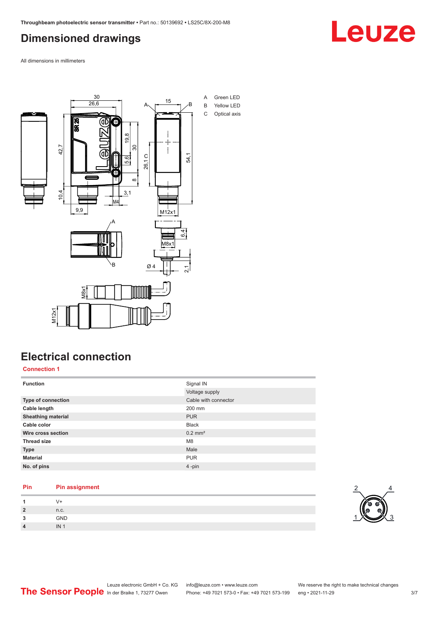## <span id="page-2-0"></span>**Dimensioned drawings**

Leuze

All dimensions in millimeters



## **Electrical connection**

**Connection 1**

| <b>Function</b>           | Signal IN             |
|---------------------------|-----------------------|
|                           | Voltage supply        |
| Type of connection        | Cable with connector  |
| Cable length              | 200 mm                |
| <b>Sheathing material</b> | <b>PUR</b>            |
| Cable color               | <b>Black</b>          |
| Wire cross section        | $0.2$ mm <sup>2</sup> |
| <b>Thread size</b>        | M <sub>8</sub>        |
| <b>Type</b>               | Male                  |
| <b>Material</b>           | <b>PUR</b>            |
| No. of pins               | $4$ -pin              |

#### **Pin Pin assignment**

|          | V+              |
|----------|-----------------|
| <u>?</u> | n.c.            |
| 2        | GND             |
| Δ        | IN <sub>1</sub> |

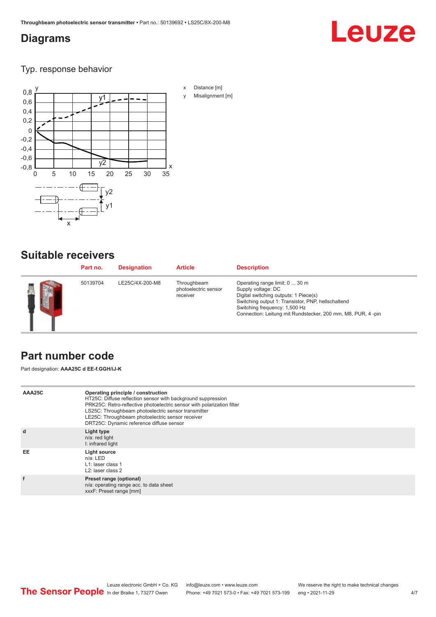#### <span id="page-3-0"></span>**Diagrams**

## Leuze

Typ. response behavior



#### **Suitable receivers**

| Part no. | <b>Designation</b> | <b>Article</b>                                  | <b>Description</b>                                                                                                                                                                                                                                   |
|----------|--------------------|-------------------------------------------------|------------------------------------------------------------------------------------------------------------------------------------------------------------------------------------------------------------------------------------------------------|
| 50139704 | LE25C/4X-200-M8    | Throughbeam<br>photoelectric sensor<br>receiver | Operating range limit: 0  30 m<br>Supply voltage: DC<br>Digital switching outputs: 1 Piece(s)<br>Switching output 1: Transistor, PNP, hellschaltend<br>Switching frequency: 1,500 Hz<br>Connection: Leitung mit Rundstecker, 200 mm, M8, PUR, 4 -pin |

#### **Part number code**

Part designation: **AAA25C d EE-f.GGH/iJ-K**

| AAA25C | Operating principle / construction<br>HT25C: Diffuse reflection sensor with background suppression<br>PRK25C: Retro-reflective photoelectric sensor with polarization filter<br>LS25C: Throughbeam photoelectric sensor transmitter<br>LE25C: Throughbeam photoelectric sensor receiver<br>DRT25C: Dynamic reference diffuse sensor |
|--------|-------------------------------------------------------------------------------------------------------------------------------------------------------------------------------------------------------------------------------------------------------------------------------------------------------------------------------------|
| d      | Light type<br>n/a: red light<br>I: infrared light                                                                                                                                                                                                                                                                                   |
| EE     | Light source<br>$n/a$ : LED<br>L1: laser class 1<br>L <sub>2</sub> : laser class 2                                                                                                                                                                                                                                                  |
| f      | Preset range (optional)<br>n/a: operating range acc. to data sheet<br>xxxF: Preset range [mm]                                                                                                                                                                                                                                       |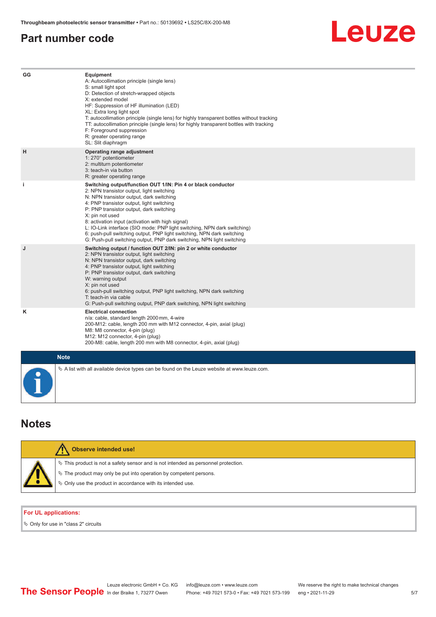#### <span id="page-4-0"></span>**Part number code**

## Leuze

| GG        | Equipment<br>A: Autocollimation principle (single lens)<br>S: small light spot<br>D: Detection of stretch-wrapped objects<br>X: extended model<br>HF: Suppression of HF illumination (LED)<br>XL: Extra long light spot<br>T: autocollimation principle (single lens) for highly transparent bottles without tracking<br>TT: autocollimation principle (single lens) for highly transparent bottles with tracking<br>F: Foreground suppression<br>R: greater operating range<br>SL: Slit diaphragm                                                     |
|-----------|--------------------------------------------------------------------------------------------------------------------------------------------------------------------------------------------------------------------------------------------------------------------------------------------------------------------------------------------------------------------------------------------------------------------------------------------------------------------------------------------------------------------------------------------------------|
| H         | Operating range adjustment<br>1: 270° potentiometer<br>2: multiturn potentiometer<br>3: teach-in via button<br>R: greater operating range                                                                                                                                                                                                                                                                                                                                                                                                              |
| j.        | Switching output/function OUT 1/IN: Pin 4 or black conductor<br>2: NPN transistor output, light switching<br>N: NPN transistor output, dark switching<br>4: PNP transistor output, light switching<br>P: PNP transistor output, dark switching<br>X: pin not used<br>8: activation input (activation with high signal)<br>L: IO-Link interface (SIO mode: PNP light switching, NPN dark switching)<br>6: push-pull switching output, PNP light switching, NPN dark switching<br>G: Push-pull switching output, PNP dark switching, NPN light switching |
| J         | Switching output / function OUT 2/IN: pin 2 or white conductor<br>2: NPN transistor output, light switching<br>N: NPN transistor output, dark switching<br>4: PNP transistor output, light switching<br>P: PNP transistor output, dark switching<br>W: warning output<br>X: pin not used<br>6: push-pull switching output, PNP light switching, NPN dark switching<br>T: teach-in via cable<br>G: Push-pull switching output, PNP dark switching, NPN light switching                                                                                  |
| ĸ         | <b>Electrical connection</b><br>n/a: cable, standard length 2000 mm, 4-wire<br>200-M12: cable, length 200 mm with M12 connector, 4-pin, axial (plug)<br>M8: M8 connector, 4-pin (plug)<br>M12: M12 connector, 4-pin (plug)<br>200-M8: cable, length 200 mm with M8 connector, 4-pin, axial (plug)                                                                                                                                                                                                                                                      |
|           | <b>Note</b>                                                                                                                                                                                                                                                                                                                                                                                                                                                                                                                                            |
| $\bullet$ | $\&$ A list with all available device types can be found on the Leuze website at www.leuze.com.                                                                                                                                                                                                                                                                                                                                                                                                                                                        |

#### **Notes**

| <b>Observe intended use!</b>                                                                                                                                                                                                  |
|-------------------------------------------------------------------------------------------------------------------------------------------------------------------------------------------------------------------------------|
| $\%$ This product is not a safety sensor and is not intended as personnel protection.<br>$\%$ The product may only be put into operation by competent persons.<br>♦ Only use the product in accordance with its intended use. |

#### **For UL applications:**

 $\%$  Only for use in "class 2" circuits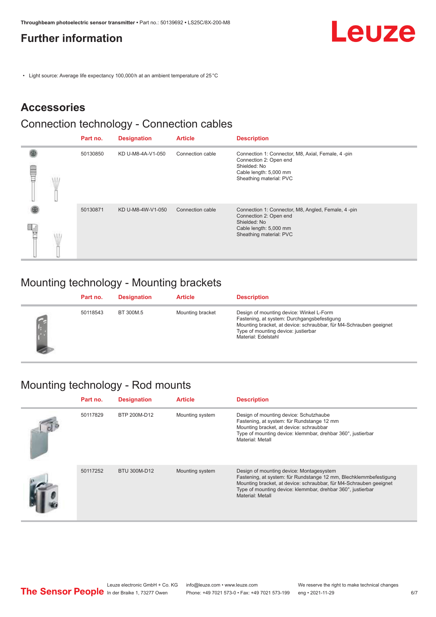### <span id="page-5-0"></span>**Further information**

• Light source: Average life expectancy 100,000 h at an ambient temperature of 25 °C

### **Accessories**

#### Connection technology - Connection cables

|   | Part no. | <b>Designation</b> | <b>Article</b>   | <b>Description</b>                                                                                                                                |
|---|----------|--------------------|------------------|---------------------------------------------------------------------------------------------------------------------------------------------------|
| ⋚ | 50130850 | KD U-M8-4A-V1-050  | Connection cable | Connection 1: Connector, M8, Axial, Female, 4 -pin<br>Connection 2: Open end<br>Shielded: No<br>Cable length: 5,000 mm<br>Sheathing material: PVC |
|   | 50130871 | KD U-M8-4W-V1-050  | Connection cable | Connection 1: Connector, M8, Angled, Female, 4-pin<br>Connection 2: Open end<br>Shielded: No<br>Cable length: 5,000 mm<br>Sheathing material: PVC |

## Mounting technology - Mounting brackets

| Part no. | <b>Designation</b> | <b>Article</b>   | <b>Description</b>                                                                                                                                                                                                          |
|----------|--------------------|------------------|-----------------------------------------------------------------------------------------------------------------------------------------------------------------------------------------------------------------------------|
| 50118543 | BT 300M.5          | Mounting bracket | Design of mounting device: Winkel L-Form<br>Fastening, at system: Durchgangsbefestigung<br>Mounting bracket, at device: schraubbar, für M4-Schrauben geeignet<br>Type of mounting device: justierbar<br>Material: Edelstahl |

## Mounting technology - Rod mounts

| Part no. | <b>Designation</b> | <b>Article</b>  | <b>Description</b>                                                                                                                                                                                                                                                     |
|----------|--------------------|-----------------|------------------------------------------------------------------------------------------------------------------------------------------------------------------------------------------------------------------------------------------------------------------------|
| 50117829 | BTP 200M-D12       | Mounting system | Design of mounting device: Schutzhaube<br>Fastening, at system: für Rundstange 12 mm<br>Mounting bracket, at device: schraubbar<br>Type of mounting device: klemmbar, drehbar 360°, justierbar<br>Material: Metall                                                     |
| 50117252 | BTU 300M-D12       | Mounting system | Design of mounting device: Montagesystem<br>Fastening, at system: für Rundstange 12 mm, Blechklemmbefestigung<br>Mounting bracket, at device: schraubbar, für M4-Schrauben geeignet<br>Type of mounting device: klemmbar, drehbar 360°, justierbar<br>Material: Metall |